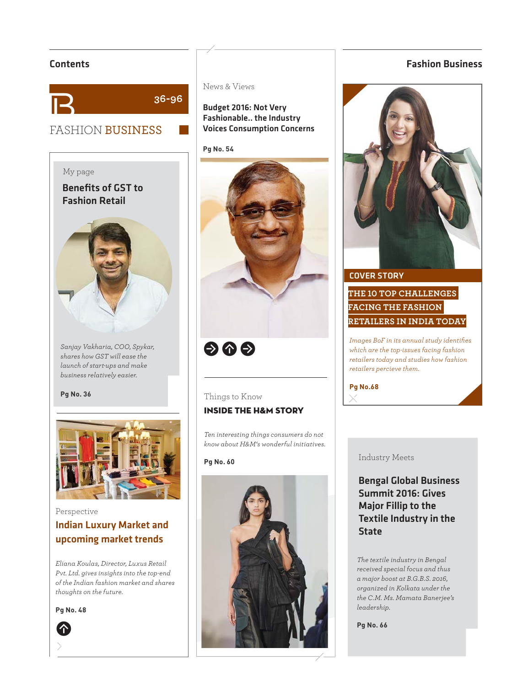

# FASHION BUSINESS



*Sanjay Vakharia, COO, Spykar, shares how GST will ease the launch of start-ups and make business relatively easier.* 

## **Pg No. 36**



# Perspective Indian Luxury Market and upcoming market trends

*Eliana Koulas, Director, Luxus Retail Pvt. Ltd. gives insights into the top-end of the Indian fashion market and shares thoughts on the future.*

**Pg No. 48**





News & Views

**Pg No. 54**

Budget 2016: Not Very Fashionable.. the Industry Voices Consumption Concerns

# Things to Know INSIDE THE H&M STORY

*Ten interesting things consumers do not know about H&M's wonderful initiatives.*

#### **Pg No. 60**



# Contents Fashion Business



## COVER STORY

# **THE 10 TOP CHALLENGES FACING THE FASHION RETAILERS IN INDIA TODAY**

*Images BoF in its annual study identifies which are the top-issues facing fashion retailers today and studies how fashion retailers percieve them.*

**Pg No.68**

Industry Meets

# Bengal Global Business Summit 2016: Gives Major Fillip to the Textile Industry in the **State**

*The textile industry in Bengal received special focus and thus a major boost at B.G.B.S. 2016, organized in Kolkata under the the C.M. Ms. Mamata Banerjee's leadership.*

**Pg No. 66**

**G**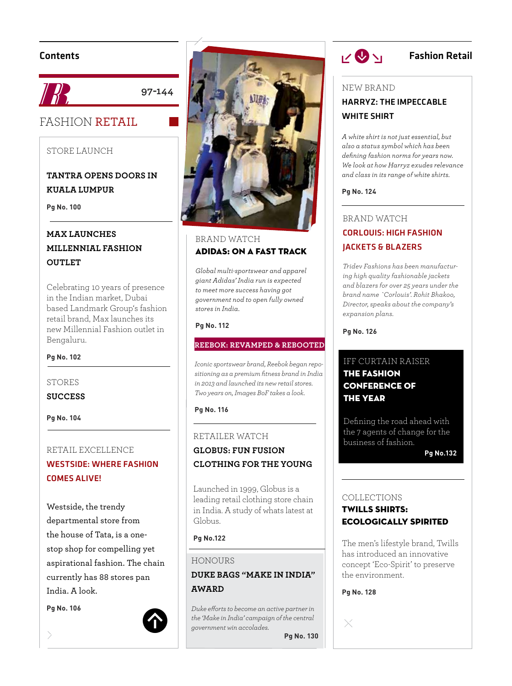# Contents



**97-144**

# FASHION RETAIL

## Store Launch

# **Tantra Opens Doors in Kuala Lumpur**

**Pg No. 100**

# **Max Launches Millennial Fashion OUTLET**

Celebrating 10 years of presence in the Indian market, Dubai based Landmark Group's fashion retail brand, Max launches its new Millennial Fashion outlet in Bengaluru.

## **Pg No. 102**

**STORES** 

# **Success**

**Pg No. 104**

# Retail Excellence Westside: Where Fashion Comes Alive!

 $\overline{a}$ Westside, the trendy departmental store from the house of Tata, is a onestop shop for compelling yet aspirational fashion. The chain currently has 88 stores pan India. A look.

**Pg No. 106**





# Brand Watch Adidas: On a Fast Track

*Global multi-sportswear and apparel giant Adidas' India run is expected to meet more success having got government nod to open fully owned stores in India.*

#### **Pg No. 112**

## **Reebok: Revamped & Rebooted**

*Iconic sportswear brand, Reebok began repositioning as a premium fitness brand in India in 2013 and launched its new retail stores. Two years on, Images BoF takes a look.*

## **Pg No. 116**

## Retailer Watch

# **Globus: Fun Fusion Clothing for the young**

Launched in 1999, Globus is a leading retail clothing store chain in India. A study of whats latest at Globus.

## **Pg No.122**

#### Honours

# **Duke bags "Make in India" Award**

*Duke efforts to become an active partner in the 'Make in India' campaign of the central government win accolades.*

**Pg No. 130**

# $v \otimes v$

# Fashion Retail

#### New Brand

# Harryz: The Impeccable WHITE SHIRT

*A white shirt is not just essential, but also a status symbol which has been defining fashion norms for years now. We look at how Harryz exudes relevance and class in its range of white shirts.*

#### **Pg No. 124**

# Brand Watch Corlouis: High Fashion Jackets & Blazers

*Tridev Fashions has been manufacturing high quality fashionable jackets and blazers for over 25 years under the brand name `Corlouis'. Rohit Bhakoo, Director, speaks about the company's expansion plans.*

**Pg No. 126**

# IFF Curtain Raiser The Fashion Conference of The Year

Defining the road ahead with the 7 agents of change for the business of fashion.

**Pg No.132**

# Collections

# Twills Shirts: Ecologically Spirited

The men's lifestyle brand, Twills has introduced an innovative concept 'Eco-Spirit' to preserve the environment.

**Pg No. 128**

 $\times$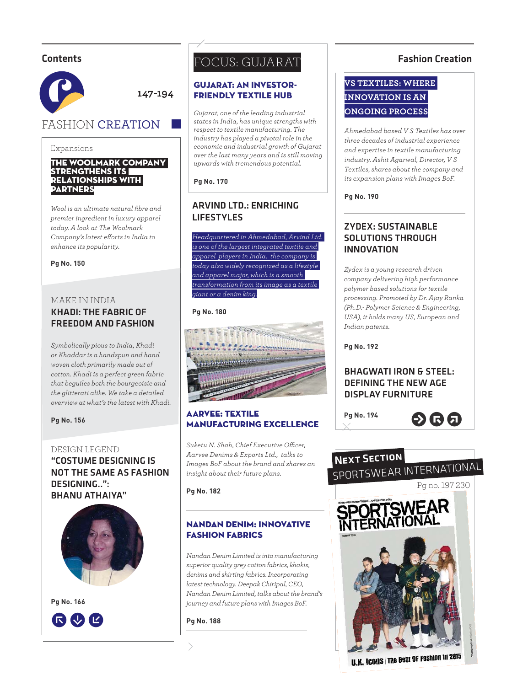## **Contents**



**147-194**

# FASHION CREATION

#### Expansions

#### THE WOOLMARK COMPANY STRENGTHENS ITS RELATIONSHIPS WITH **PARTNERS**

*Wool is an ultimate natural fibre and premier ingredient in luxury apparel today. A look at The Woolmark Company's latest eff orts in India to enhance its popularity.*

#### **Pg No. 150**

## MAKE IN INDIA KHADI: THE FABRIC OF FREEDOM AND FASHION

*Symbolically pious to India, Khadi or Khaddar is a handspun and hand woven cloth primarily made out of cotton. Khadi is a perfect green fabric that beguiles both the bourgeoisie and the glitterati alike. We take a detailed overview at what's the latest with Khadi.*

## **Pg No. 156**

# DESIGN LEGEND "COSTUME DESIGNING IS NOT THE SAME AS FASHION DESIGNING..": BHANU ATHAIYA"



**Pg No. 166**



# FOCUS: GUJARAT

## GUJARAT: AN INVESTOR-FRIENDLY TEXTILE HUB

*Gujarat, one of the leading industrial states in India, has unique strengths with respect to textile manufacturing. The industry has played a pivotal role in the economic and industrial growth of Gujarat over the last many years and is still moving upwards with tremendous potential.*

## **Pg No. 170**

## ARVIND LTD.: ENRICHING LIFESTYLES

*Headquartered in Ahmedabad, Arvind Ltd. is one of the largest integrated textile and apparel players in India. the company is today also widely recognized as a lifestyle and apparel major, which is a smooth transformation from its image as a textile giant or a denim king.*

## **Pg No. 180**



## AARVEE: TEXTILE MANUFACTURING EXCELLENCE

*Suketu N. Shah, Chief Executive Officer. Aarvee Denims & Exports Ltd., talks to Images BoF about the brand and shares an insight about their future plans.*

**Pg No. 182**

## NANDAN DENIM: INNOVATIVE FASHION FABRICS

*Nandan Denim Limited is into manufacturing superior quality grey cotton fabrics, khakis, denims and shirting fabrics. Incorporating latest technology. Deepak Chiripal, CEO, Nandan Denim Limited, talks about the brand's journey and future plans with Images BoF.*

## **Pg No. 188**

# Fashion Creation

# **VS TEXTILES: WHERE INNOVATION IS AN ONGOING PROCESS**

*Ahmedabad based V S Textiles has over three decades of industrial experience and expertise in textile manufacturing industry. Ashit Agarwal, Director, V S Textiles, shares about the company and its expansion plans with Images BoF.*

## **Pg No. 190**

# ZYDEX: SUSTAINABLE SOLUTIONS THROUGH INNOVATION

*Zydex is a young research driven company delivering high performance polymer based solutions for textile processing. Promoted by Dr. Ajay Ranka (Ph.D.- Polymer Science & Engineering, USA), it holds many US, European and Indian patents.*

**Pg No. 192**

## BHAGWATI IRON & STEEL: DEFINING THE NEW AGE DISPLAY FURNITURE

**Pg No. 194**